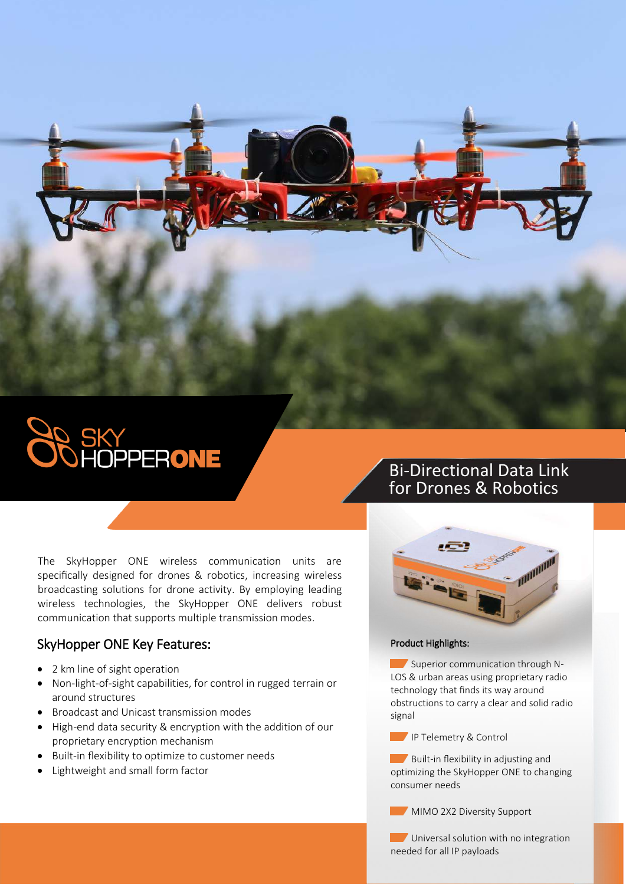

The SkyHopper ONE wireless communication units are specifically designed for drones & robotics, increasing wireless broadcasting solutions for drone activity. By employing leading wireless technologies, the SkyHopper ONE delivers robust communication that supports multiple transmission modes.

## SkyHopper ONE Key Features:

- 2 km line of sight operation
- Non-light-of-sight capabilities, for control in rugged terrain or around structures
- Broadcast and Unicast transmission modes
- High-end data security & encryption with the addition of our proprietary encryption mechanism
- Built-in flexibility to optimize to customer needs
- Lightweight and small form factor

## Bi-Directional Data Link for Drones & Robotics



## Product Highlights:

 $\blacksquare$  Superior communication through N-LOS & urban areas using proprietary radio technology that finds its way around obstructions to carry a clear and solid radio signal

IP Telemetry & Control

Built-in flexibility in adjusting and optimizing the SkyHopper ONE to changing consumer needs

**MIMO 2X2 Diversity Support** 

**Universal solution with no integration** needed for all IP payloads